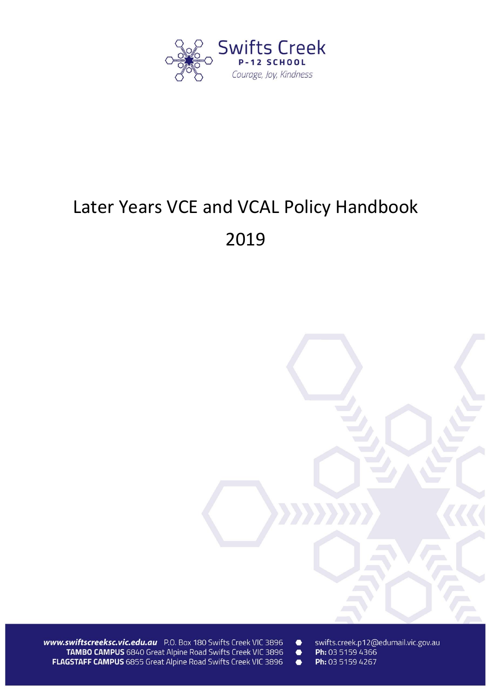

# Later Years VCE and VCAL Policy Handbook 2019



www.swiftscreeksc.vic.edu.au P.O. Box 180 Swifts Creek VIC 3896 TAMBO CAMPUS 6840 Great Alpine Road Swifts Creek VIC 3896 FLAGSTAFF CAMPUS 6855 Great Alpine Road Swifts Creek VIC 3896

swifts.creek.p12@edumail.vic.gov.au  $\bullet$ 

Ph: 03 5159 4366  $\bullet$  $\bullet$ 

Ph: 03 5159 4267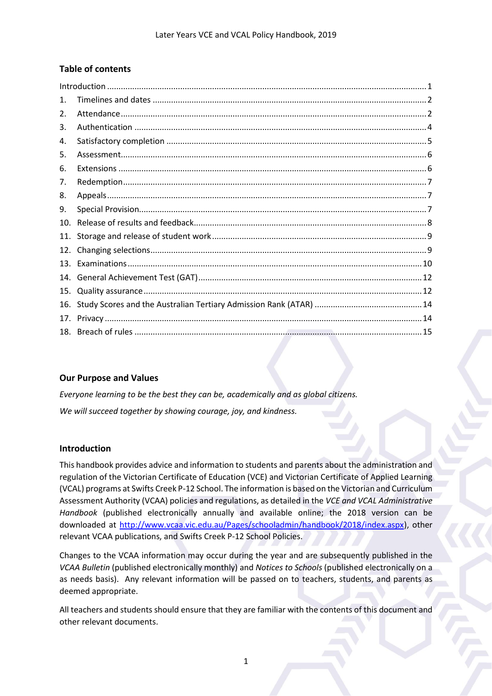# **Table of contents**

| $\mathbf{1}$ . |  |
|----------------|--|
| 2.             |  |
| 3.             |  |
| 4.             |  |
| 5.             |  |
| 6.             |  |
| 7.             |  |
| 8.             |  |
| 9.             |  |
| 10.            |  |
| 11.            |  |
| 12.            |  |
| 13.            |  |
| 14.            |  |
| 15.            |  |
| 16.            |  |
| 17.            |  |
| 18.            |  |

## **Our Purpose and Values**

*Everyone learning to be the best they can be, academically and as global citizens. We will succeed together by showing courage, joy, and kindness.*

# <span id="page-1-0"></span>**Introduction**

This handbook provides advice and information to students and parents about the administration and regulation of the Victorian Certificate of Education (VCE) and Victorian Certificate of Applied Learning (VCAL) programs at Swifts Creek P-12 School. The information is based on the Victorian and Curriculum Assessment Authority (VCAA) policies and regulations, as detailed in the *VCE and VCAL Administrative Handbook* (published electronically annually and available online; the 2018 version can be downloaded at [http://www.vcaa.vic.edu.au/Pages/schooladmin/handbook/2018/index.aspx\)](http://www.vcaa.vic.edu.au/Pages/schooladmin/handbook/2018/index.aspx), other relevant VCAA publications, and Swifts Creek P-12 School Policies.

Changes to the VCAA information may occur during the year and are subsequently published in the *VCAA Bulletin* (published electronically monthly) and *Notices to Schools* (published electronically on a as needs basis). Any relevant information will be passed on to teachers, students, and parents as deemed appropriate.

All teachers and students should ensure that they are familiar with the contents of this document and other relevant documents.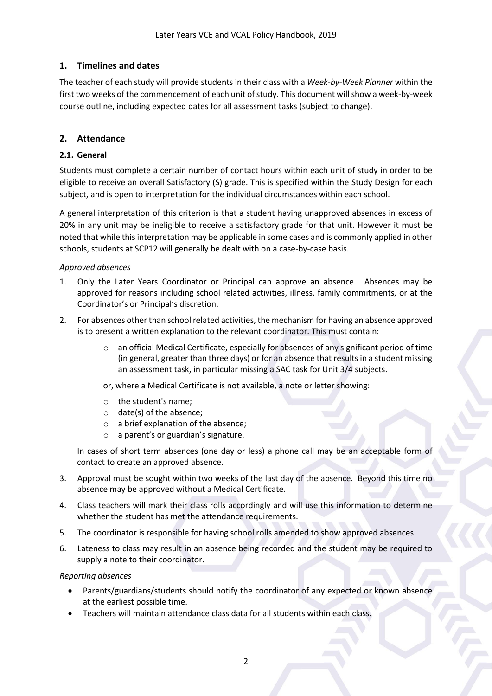# <span id="page-2-0"></span>**1. Timelines and dates**

The teacher of each study will provide students in their class with a *Week-by-Week Planner* within the first two weeks of the commencement of each unit of study. This document will show a week-by-week course outline, including expected dates for all assessment tasks (subject to change).

# <span id="page-2-1"></span>**2. Attendance**

#### **2.1. General**

Students must complete a certain number of contact hours within each unit of study in order to be eligible to receive an overall Satisfactory (S) grade. This is specified within the Study Design for each subject, and is open to interpretation for the individual circumstances within each school.

A general interpretation of this criterion is that a student having unapproved absences in excess of 20% in any unit may be ineligible to receive a satisfactory grade for that unit. However it must be noted that while this interpretation may be applicable in some cases and is commonly applied in other schools, students at SCP12 will generally be dealt with on a case-by-case basis.

#### *Approved absences*

- 1. Only the Later Years Coordinator or Principal can approve an absence. Absences may be approved for reasons including school related activities, illness, family commitments, or at the Coordinator's or Principal's discretion.
- 2. For absences other than school related activities, the mechanism for having an absence approved is to present a written explanation to the relevant coordinator. This must contain:
	- $\circ$  an official Medical Certificate, especially for absences of any significant period of time (in general, greater than three days) or for an absence that results in a student missing an assessment task, in particular missing a SAC task for Unit 3/4 subjects.
	- or, where a Medical Certificate is not available, a note or letter showing:
	- o the student's name;
	- o date(s) of the absence;
	- o a brief explanation of the absence;
	- o a parent's or guardian's signature.

In cases of short term absences (one day or less) a phone call may be an acceptable form of contact to create an approved absence.

- 3. Approval must be sought within two weeks of the last day of the absence. Beyond this time no absence may be approved without a Medical Certificate.
- 4. Class teachers will mark their class rolls accordingly and will use this information to determine whether the student has met the attendance requirements.
- 5. The coordinator is responsible for having school rolls amended to show approved absences.
- 6. Lateness to class may result in an absence being recorded and the student may be required to supply a note to their coordinator.

#### *Reporting absences*

- Parents/guardians/students should notify the coordinator of any expected or known absence at the earliest possible time.
- Teachers will maintain attendance class data for all students within each class.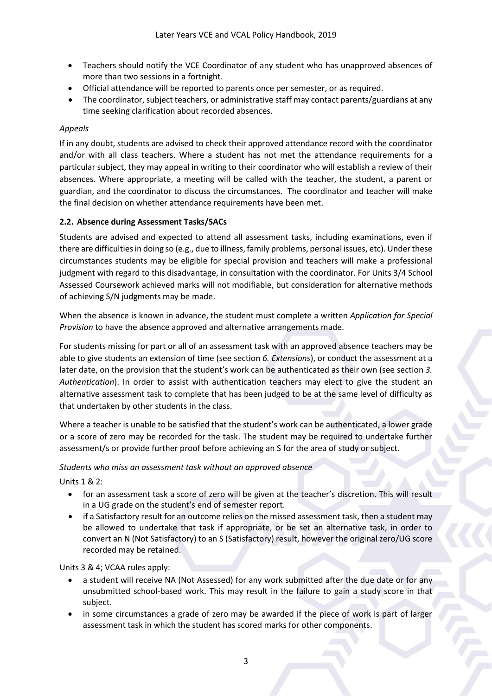- Teachers should notify the VCE Coordinator of any student who has unapproved absences of more than two sessions in a fortnight.
- Official attendance will be reported to parents once per semester, or as required.
- The coordinator, subject teachers, or administrative staff may contact parents/guardians at any time seeking clarification about recorded absences.

# *Appeals*

If in any doubt, students are advised to check their approved attendance record with the coordinator and/or with all class teachers. Where a student has not met the attendance requirements for a particular subject, they may appeal in writing to their coordinator who will establish a review of their absences. Where appropriate, a meeting will be called with the teacher, the student, a parent or guardian, and the coordinator to discuss the circumstances. The coordinator and teacher will make the final decision on whether attendance requirements have been met.

## **2.2. Absence during Assessment Tasks/SACs**

Students are advised and expected to attend all assessment tasks, including examinations, even if there are difficulties in doing so (e.g., due to illness, family problems, personal issues, etc). Under these circumstances students may be eligible for special provision and teachers will make a professional judgment with regard to this disadvantage, in consultation with the coordinator. For Units 3/4 School Assessed Coursework achieved marks will not modifiable, but consideration for alternative methods of achieving S/N judgments may be made.

When the absence is known in advance, the student must complete a written *Application for Special Provision* to have the absence approved and alternative arrangements made.

For students missing for part or all of an assessment task with an approved absence teachers may be able to give students an extension of time (see section *6. Extensions*), or conduct the assessment at a later date, on the provision that the student's work can be authenticated as their own (see section *3. Authentication*). In order to assist with authentication teachers may elect to give the student an alternative assessment task to complete that has been judged to be at the same level of difficulty as that undertaken by other students in the class.

Where a teacher is unable to be satisfied that the student's work can be authenticated, a lower grade or a score of zero may be recorded for the task. The student may be required to undertake further assessment/s or provide further proof before achieving an S for the area of study or subject.

## *Students who miss an assessment task without an approved absence*

Units 1 & 2:

- for an assessment task a score of zero will be given at the teacher's discretion. This will result in a UG grade on the student's end of semester report.
- if a Satisfactory result for an outcome relies on the missed assessment task, then a student may be allowed to undertake that task if appropriate, or be set an alternative task, in order to convert an N (Not Satisfactory) to an S (Satisfactory) result, however the original zero/UG score recorded may be retained.

Units 3 & 4; VCAA rules apply:

- a student will receive NA (Not Assessed) for any work submitted after the due date or for any unsubmitted school-based work. This may result in the failure to gain a study score in that subject.
- in some circumstances a grade of zero may be awarded if the piece of work is part of larger assessment task in which the student has scored marks for other components.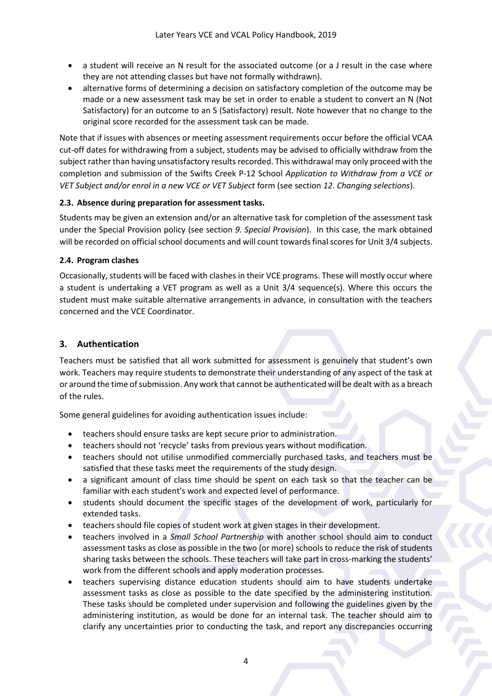- a student will receive an N result for the associated outcome (or a J result in the case where they are not attending classes but have not formally withdrawn).
- alternative forms of determining a decision on satisfactory completion of the outcome may be made or a new assessment task may be set in order to enable a student to convert an N (Not Satisfactory) for an outcome to an S (Satisfactory) result. Note however that no change to the original score recorded for the assessment task can be made.

Note that if issues with absences or meeting assessment requirements occur before the official VCAA cut-off dates for withdrawing from a subject, students may be advised to officially withdraw from the subject rather than having unsatisfactory results recorded. This withdrawal may only proceed with the completion and submission of the Swifts Creek P-12 School *Application to Withdraw from a VCE or VET Subject and/or enrol in a new VCE or VET Subject* form (see section *12. Changing selections*).

## **2.3. Absence during preparation for assessment tasks.**

Students may be given an extension and/or an alternative task for completion of the assessment task under the Special Provision policy (see section *9. Special Provision*). In this case, the mark obtained will be recorded on official school documents and will count towards final scores for Unit 3/4 subjects.

#### **2.4. Program clashes**

Occasionally, students will be faced with clashes in their VCE programs. These will mostly occur where a student is undertaking a VET program as well as a Unit 3/4 sequence(s). Where this occurs the student must make suitable alternative arrangements in advance, in consultation with the teachers concerned and the VCE Coordinator.

# <span id="page-4-0"></span>**3. Authentication**

Teachers must be satisfied that all work submitted for assessment is genuinely that student's own work. Teachers may require students to demonstrate their understanding of any aspect of the task at or around the time of submission. Any work that cannot be authenticated will be dealt with as a breach of the rules.

Some general guidelines for avoiding authentication issues include:

- teachers should ensure tasks are kept secure prior to administration.
- teachers should not 'recycle' tasks from previous years without modification.
- teachers should not utilise unmodified commercially purchased tasks, and teachers must be satisfied that these tasks meet the requirements of the study design.
- a significant amount of class time should be spent on each task so that the teacher can be familiar with each student's work and expected level of performance.
- students should document the specific stages of the development of work, particularly for extended tasks.
- teachers should file copies of student work at given stages in their development.
- teachers involved in a *Small School Partnership* with another school should aim to conduct assessment tasks as close as possible in the two (or more) schools to reduce the risk of students sharing tasks between the schools. These teachers will take part in cross-marking the students' work from the different schools and apply moderation processes.
- teachers supervising distance education students should aim to have students undertake assessment tasks as close as possible to the date specified by the administering institution. These tasks should be completed under supervision and following the guidelines given by the administering institution, as would be done for an internal task. The teacher should aim to clarify any uncertainties prior to conducting the task, and report any discrepancies occurring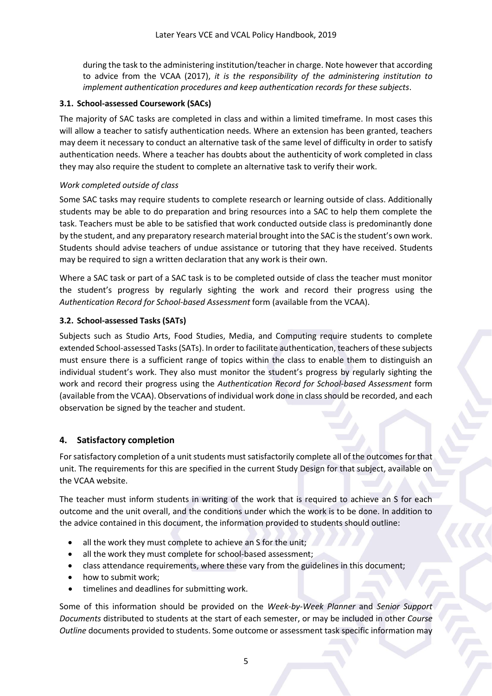during the task to the administering institution/teacher in charge. Note however that according to advice from the VCAA (2017), *it is the responsibility of the administering institution to implement authentication procedures and keep authentication records for these subjects*.

## **3.1. School-assessed Coursework (SACs)**

The majority of SAC tasks are completed in class and within a limited timeframe. In most cases this will allow a teacher to satisfy authentication needs. Where an extension has been granted, teachers may deem it necessary to conduct an alternative task of the same level of difficulty in order to satisfy authentication needs. Where a teacher has doubts about the authenticity of work completed in class they may also require the student to complete an alternative task to verify their work.

#### *Work completed outside of class*

Some SAC tasks may require students to complete research or learning outside of class. Additionally students may be able to do preparation and bring resources into a SAC to help them complete the task. Teachers must be able to be satisfied that work conducted outside class is predominantly done by the student, and any preparatory research material brought into the SAC is the student's own work. Students should advise teachers of undue assistance or tutoring that they have received. Students may be required to sign a written declaration that any work is their own.

Where a SAC task or part of a SAC task is to be completed outside of class the teacher must monitor the student's progress by regularly sighting the work and record their progress using the *Authentication Record for School-based Assessment* form (available from the VCAA).

#### **3.2. School-assessed Tasks (SATs)**

Subjects such as Studio Arts, Food Studies, Media, and Computing require students to complete extended School-assessed Tasks (SATs). In order to facilitate authentication, teachers of these subjects must ensure there is a sufficient range of topics within the class to enable them to distinguish an individual student's work. They also must monitor the student's progress by regularly sighting the work and record their progress using the *Authentication Record for School-based Assessment* form (available from the VCAA). Observations of individual work done in class should be recorded, and each observation be signed by the teacher and student.

## <span id="page-5-0"></span>**4. Satisfactory completion**

For satisfactory completion of a unit students must satisfactorily complete all of the outcomes for that unit. The requirements for this are specified in the current Study Design for that subject, available on the VCAA website.

The teacher must inform students in writing of the work that is required to achieve an S for each outcome and the unit overall, and the conditions under which the work is to be done. In addition to the advice contained in this document, the information provided to students should outline:

- all the work they must complete to achieve an S for the unit;
- all the work they must complete for school-based assessment;
- class attendance requirements, where these vary from the guidelines in this document;
- how to submit work;
- timelines and deadlines for submitting work.

Some of this information should be provided on the *Week-by-Week Planner* and *Senior Support Documents* distributed to students at the start of each semester, or may be included in other *Course Outline* documents provided to students. Some outcome or assessment task specific information may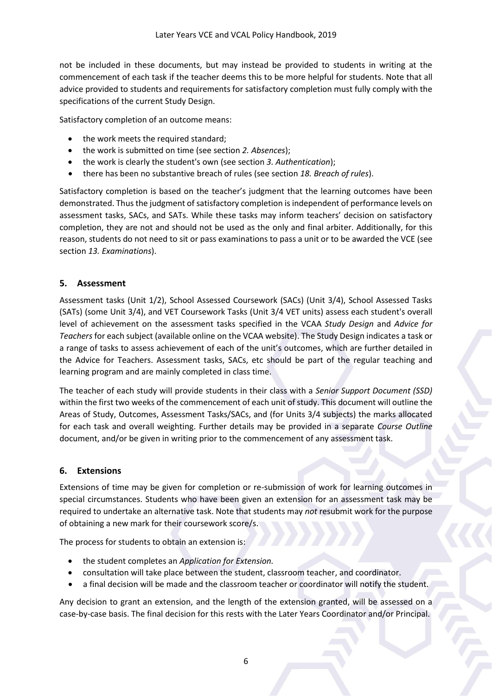not be included in these documents, but may instead be provided to students in writing at the commencement of each task if the teacher deems this to be more helpful for students. Note that all advice provided to students and requirements for satisfactory completion must fully comply with the specifications of the current Study Design.

Satisfactory completion of an outcome means:

- the work meets the required standard;
- the work is submitted on time (see section *2. Absences*);
- the work is clearly the student's own (see section *3. Authentication*);
- there has been no substantive breach of rules (see section *18. Breach of rules*).

Satisfactory completion is based on the teacher's judgment that the learning outcomes have been demonstrated. Thus the judgment of satisfactory completion is independent of performance levels on assessment tasks, SACs, and SATs. While these tasks may inform teachers' decision on satisfactory completion, they are not and should not be used as the only and final arbiter. Additionally, for this reason, students do not need to sit or pass examinations to pass a unit or to be awarded the VCE (see section *13. Examinations*).

#### <span id="page-6-0"></span>**5. Assessment**

Assessment tasks (Unit 1/2), School Assessed Coursework (SACs) (Unit 3/4), School Assessed Tasks (SATs) (some Unit 3/4), and VET Coursework Tasks (Unit 3/4 VET units) assess each student's overall level of achievement on the assessment tasks specified in the VCAA *Study Design* and *Advice for Teachers* for each subject (available online on the VCAA website). The Study Design indicates a task or a range of tasks to assess achievement of each of the unit's outcomes, which are further detailed in the Advice for Teachers. Assessment tasks, SACs, etc should be part of the regular teaching and learning program and are mainly completed in class time.

The teacher of each study will provide students in their class with a *Senior Support Document (SSD)*  within the first two weeks of the commencement of each unit of study. This document will outline the Areas of Study, Outcomes, Assessment Tasks/SACs, and (for Units 3/4 subjects) the marks allocated for each task and overall weighting. Further details may be provided in a separate *Course Outline* document, and/or be given in writing prior to the commencement of any assessment task.

## <span id="page-6-1"></span>**6. Extensions**

Extensions of time may be given for completion or re-submission of work for learning outcomes in special circumstances. Students who have been given an extension for an assessment task may be required to undertake an alternative task. Note that students may *not* resubmit work for the purpose of obtaining a new mark for their coursework score/s.

The process for students to obtain an extension is:

- the student completes an *Application for Extension.*
- consultation will take place between the student, classroom teacher, and coordinator.
- a final decision will be made and the classroom teacher or coordinator will notify the student.

Any decision to grant an extension, and the length of the extension granted, will be assessed on a case-by-case basis. The final decision for this rests with the Later Years Coordinator and/or Principal.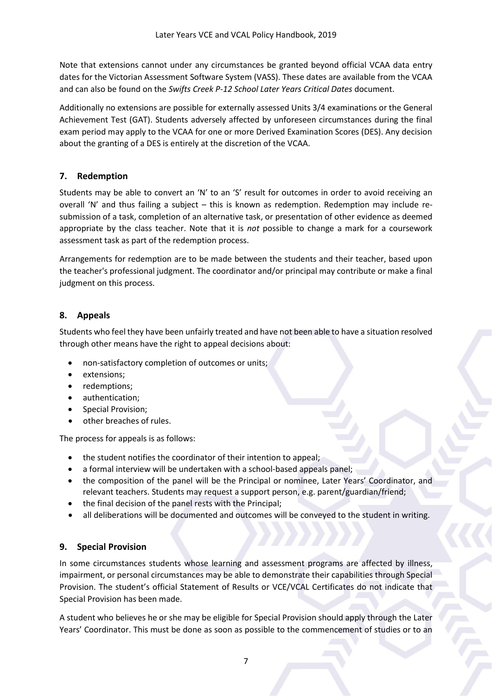Note that extensions cannot under any circumstances be granted beyond official VCAA data entry dates for the Victorian Assessment Software System (VASS). These dates are available from the VCAA and can also be found on the *Swifts Creek P-12 School Later Years Critical Dates* document.

Additionally no extensions are possible for externally assessed Units 3/4 examinations or the General Achievement Test (GAT). Students adversely affected by unforeseen circumstances during the final exam period may apply to the VCAA for one or more Derived Examination Scores (DES). Any decision about the granting of a DES is entirely at the discretion of the VCAA.

# <span id="page-7-0"></span>**7. Redemption**

Students may be able to convert an 'N' to an 'S' result for outcomes in order to avoid receiving an overall 'N' and thus failing a subject – this is known as redemption. Redemption may include resubmission of a task, completion of an alternative task, or presentation of other evidence as deemed appropriate by the class teacher. Note that it is *not* possible to change a mark for a coursework assessment task as part of the redemption process.

Arrangements for redemption are to be made between the students and their teacher, based upon the teacher's professional judgment. The coordinator and/or principal may contribute or make a final judgment on this process.

# <span id="page-7-1"></span>**8. Appeals**

Students who feel they have been unfairly treated and have not been able to have a situation resolved through other means have the right to appeal decisions about:

- non-satisfactory completion of outcomes or units;
- extensions;
- redemptions;
- authentication;
- Special Provision;
- other breaches of rules.

The process for appeals is as follows:

- the student notifies the coordinator of their intention to appeal;
- a formal interview will be undertaken with a school-based appeals panel;
- the composition of the panel will be the Principal or nominee, Later Years' Coordinator, and relevant teachers. Students may request a support person, e.g. parent/guardian/friend;
- the final decision of the panel rests with the Principal;
- all deliberations will be documented and outcomes will be conveyed to the student in writing.

# <span id="page-7-2"></span>**9. Special Provision**

In some circumstances students whose learning and assessment programs are affected by illness, impairment, or personal circumstances may be able to demonstrate their capabilities through Special Provision. The student's official Statement of Results or VCE/VCAL Certificates do not indicate that Special Provision has been made.

A student who believes he or she may be eligible for Special Provision should apply through the Later Years' Coordinator. This must be done as soon as possible to the commencement of studies or to an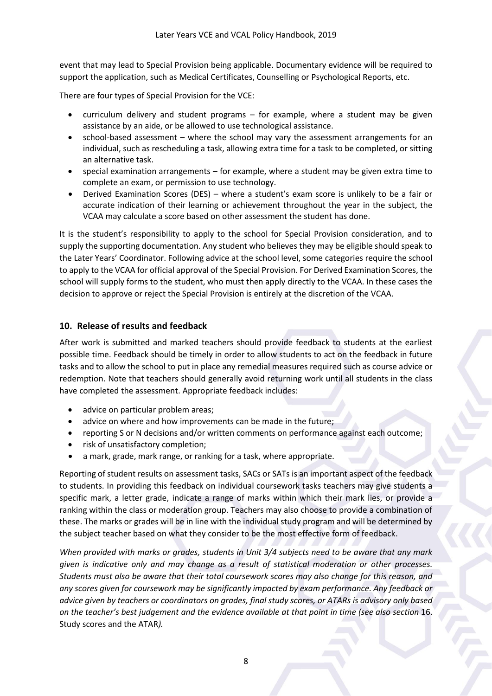event that may lead to Special Provision being applicable. Documentary evidence will be required to support the application, such as Medical Certificates, Counselling or Psychological Reports, etc.

There are four types of Special Provision for the VCE:

- curriculum delivery and student programs for example, where a student may be given assistance by an aide, or be allowed to use technological assistance.
- school-based assessment where the school may vary the assessment arrangements for an individual, such as rescheduling a task, allowing extra time for a task to be completed, or sitting an alternative task.
- special examination arrangements for example, where a student may be given extra time to complete an exam, or permission to use technology.
- Derived Examination Scores (DES) where a student's exam score is unlikely to be a fair or accurate indication of their learning or achievement throughout the year in the subject, the VCAA may calculate a score based on other assessment the student has done.

It is the student's responsibility to apply to the school for Special Provision consideration, and to supply the supporting documentation. Any student who believes they may be eligible should speak to the Later Years' Coordinator. Following advice at the school level, some categories require the school to apply to the VCAA for official approval of the Special Provision. For Derived Examination Scores, the school will supply forms to the student, who must then apply directly to the VCAA. In these cases the decision to approve or reject the Special Provision is entirely at the discretion of the VCAA.

## <span id="page-8-0"></span>**10. Release of results and feedback**

After work is submitted and marked teachers should provide feedback to students at the earliest possible time. Feedback should be timely in order to allow students to act on the feedback in future tasks and to allow the school to put in place any remedial measures required such as course advice or redemption. Note that teachers should generally avoid returning work until all students in the class have completed the assessment. Appropriate feedback includes:

- advice on particular problem areas;
- advice on where and how improvements can be made in the future;
- reporting S or N decisions and/or written comments on performance against each outcome;
- risk of unsatisfactory completion;
- a mark, grade, mark range, or ranking for a task, where appropriate.

Reporting of student results on assessment tasks, SACs or SATs is an important aspect of the feedback to students. In providing this feedback on individual coursework tasks teachers may give students a specific mark, a letter grade, indicate a range of marks within which their mark lies, or provide a ranking within the class or moderation group. Teachers may also choose to provide a combination of these. The marks or grades will be in line with the individual study program and will be determined by the subject teacher based on what they consider to be the most effective form of feedback.

*When provided with marks or grades, students in Unit 3/4 subjects need to be aware that any mark given is indicative only and may change as a result of statistical moderation or other processes. Students must also be aware that their total coursework scores may also change for this reason, and any scores given for coursework may be significantly impacted by exam performance. Any feedback or advice given by teachers or coordinators on grades, final study scores, or ATARs is advisory only based on the teacher's best judgement and the evidence available at that point in time (see also section* 16. Study scores and the ATAR*).*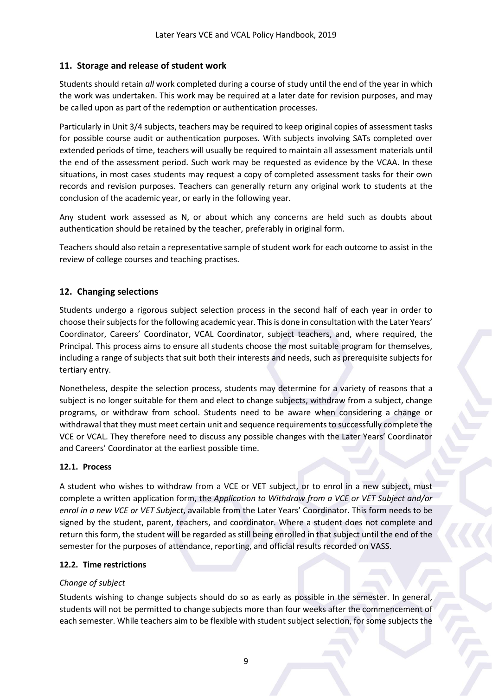# <span id="page-9-0"></span>**11. Storage and release of student work**

Students should retain *all* work completed during a course of study until the end of the year in which the work was undertaken. This work may be required at a later date for revision purposes, and may be called upon as part of the redemption or authentication processes.

Particularly in Unit 3/4 subjects, teachers may be required to keep original copies of assessment tasks for possible course audit or authentication purposes. With subjects involving SATs completed over extended periods of time, teachers will usually be required to maintain all assessment materials until the end of the assessment period. Such work may be requested as evidence by the VCAA. In these situations, in most cases students may request a copy of completed assessment tasks for their own records and revision purposes. Teachers can generally return any original work to students at the conclusion of the academic year, or early in the following year.

Any student work assessed as N, or about which any concerns are held such as doubts about authentication should be retained by the teacher, preferably in original form.

Teachers should also retain a representative sample of student work for each outcome to assist in the review of college courses and teaching practises.

# <span id="page-9-1"></span>**12. Changing selections**

Students undergo a rigorous subject selection process in the second half of each year in order to choose their subjects for the following academic year. This is done in consultation with the Later Years' Coordinator, Careers' Coordinator, VCAL Coordinator, subject teachers, and, where required, the Principal. This process aims to ensure all students choose the most suitable program for themselves, including a range of subjects that suit both their interests and needs, such as prerequisite subjects for tertiary entry.

Nonetheless, despite the selection process, students may determine for a variety of reasons that a subject is no longer suitable for them and elect to change subjects, withdraw from a subject, change programs, or withdraw from school. Students need to be aware when considering a change or withdrawal that they must meet certain unit and sequence requirements to successfully complete the VCE or VCAL. They therefore need to discuss any possible changes with the Later Years' Coordinator and Careers' Coordinator at the earliest possible time.

# **12.1. Process**

A student who wishes to withdraw from a VCE or VET subject, or to enrol in a new subject, must complete a written application form, the *Application to Withdraw from a VCE or VET Subject and/or enrol in a new VCE or VET Subject*, available from the Later Years' Coordinator. This form needs to be signed by the student, parent, teachers, and coordinator. Where a student does not complete and return this form, the student will be regarded as still being enrolled in that subject until the end of the semester for the purposes of attendance, reporting, and official results recorded on VASS.

# **12.2. Time restrictions**

# *Change of subject*

Students wishing to change subjects should do so as early as possible in the semester. In general, students will not be permitted to change subjects more than four weeks after the commencement of each semester. While teachers aim to be flexible with student subject selection, for some subjects the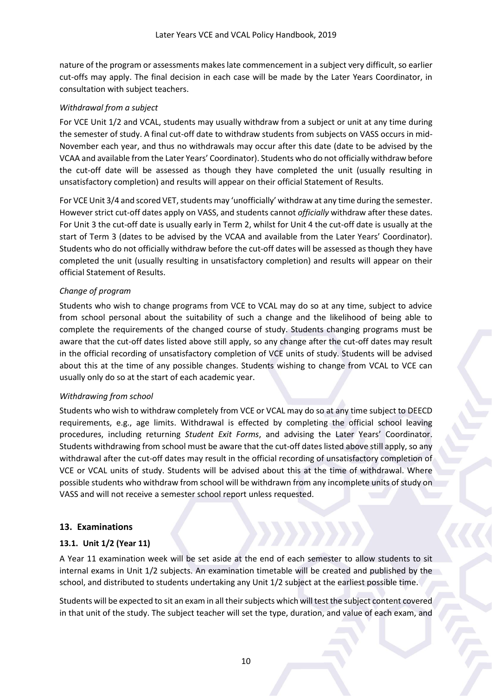nature of the program or assessments makes late commencement in a subject very difficult, so earlier cut-offs may apply. The final decision in each case will be made by the Later Years Coordinator, in consultation with subject teachers.

## *Withdrawal from a subject*

For VCE Unit 1/2 and VCAL, students may usually withdraw from a subject or unit at any time during the semester of study. A final cut-off date to withdraw students from subjects on VASS occurs in mid-November each year, and thus no withdrawals may occur after this date (date to be advised by the VCAA and available from the Later Years' Coordinator). Students who do not officially withdraw before the cut-off date will be assessed as though they have completed the unit (usually resulting in unsatisfactory completion) and results will appear on their official Statement of Results.

For VCE Unit 3/4 and scored VET, students may 'unofficially' withdraw at any time during the semester. However strict cut-off dates apply on VASS, and students cannot *officially* withdraw after these dates. For Unit 3 the cut-off date is usually early in Term 2, whilst for Unit 4 the cut-off date is usually at the start of Term 3 (dates to be advised by the VCAA and available from the Later Years' Coordinator). Students who do not officially withdraw before the cut-off dates will be assessed as though they have completed the unit (usually resulting in unsatisfactory completion) and results will appear on their official Statement of Results.

#### *Change of program*

Students who wish to change programs from VCE to VCAL may do so at any time, subject to advice from school personal about the suitability of such a change and the likelihood of being able to complete the requirements of the changed course of study. Students changing programs must be aware that the cut-off dates listed above still apply, so any change after the cut-off dates may result in the official recording of unsatisfactory completion of VCE units of study. Students will be advised about this at the time of any possible changes. Students wishing to change from VCAL to VCE can usually only do so at the start of each academic year.

#### *Withdrawing from school*

Students who wish to withdraw completely from VCE or VCAL may do so at any time subject to DEECD requirements, e.g., age limits. Withdrawal is effected by completing the official school leaving procedures, including returning *Student Exit Forms*, and advising the Later Years' Coordinator. Students withdrawing from school must be aware that the cut-off dates listed above still apply, so any withdrawal after the cut-off dates may result in the official recording of unsatisfactory completion of VCE or VCAL units of study. Students will be advised about this at the time of withdrawal. Where possible students who withdraw from school will be withdrawn from any incomplete units of study on VASS and will not receive a semester school report unless requested.

## <span id="page-10-0"></span>**13. Examinations**

# **13.1. Unit 1/2 (Year 11)**

A Year 11 examination week will be set aside at the end of each semester to allow students to sit internal exams in Unit 1/2 subjects. An examination timetable will be created and published by the school, and distributed to students undertaking any Unit 1/2 subject at the earliest possible time.

Students will be expected to sit an exam in all their subjects which will test the subject content covered in that unit of the study. The subject teacher will set the type, duration, and value of each exam, and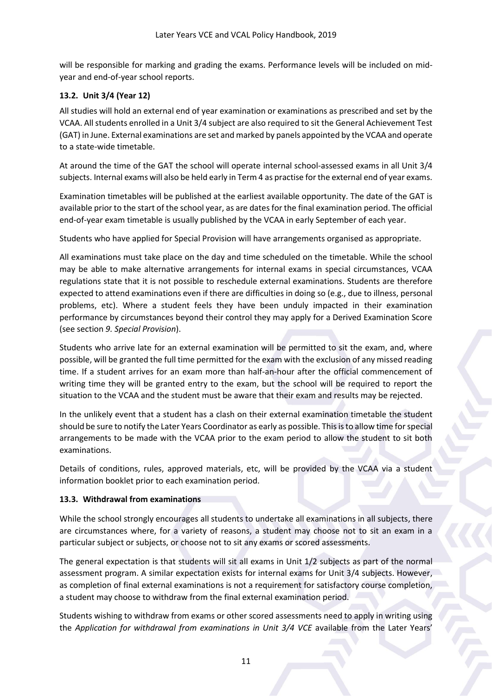will be responsible for marking and grading the exams. Performance levels will be included on midyear and end-of-year school reports.

## **13.2. Unit 3/4 (Year 12)**

All studies will hold an external end of year examination or examinations as prescribed and set by the VCAA. All students enrolled in a Unit 3/4 subject are also required to sit the General Achievement Test (GAT) in June. External examinations are set and marked by panels appointed by the VCAA and operate to a state-wide timetable.

At around the time of the GAT the school will operate internal school-assessed exams in all Unit 3/4 subjects. Internal exams will also be held early in Term 4 as practise for the external end of year exams.

Examination timetables will be published at the earliest available opportunity. The date of the GAT is available prior to the start of the school year, as are dates for the final examination period. The official end-of-year exam timetable is usually published by the VCAA in early September of each year.

Students who have applied for Special Provision will have arrangements organised as appropriate.

All examinations must take place on the day and time scheduled on the timetable. While the school may be able to make alternative arrangements for internal exams in special circumstances, VCAA regulations state that it is not possible to reschedule external examinations. Students are therefore expected to attend examinations even if there are difficulties in doing so (e.g., due to illness, personal problems, etc). Where a student feels they have been unduly impacted in their examination performance by circumstances beyond their control they may apply for a Derived Examination Score (see section *9. Special Provision*).

Students who arrive late for an external examination will be permitted to sit the exam, and, where possible, will be granted the full time permitted for the exam with the exclusion of any missed reading time. If a student arrives for an exam more than half-an-hour after the official commencement of writing time they will be granted entry to the exam, but the school will be required to report the situation to the VCAA and the student must be aware that their exam and results may be rejected.

In the unlikely event that a student has a clash on their external examination timetable the student should be sure to notify the Later Years Coordinator as early as possible. This is to allow time forspecial arrangements to be made with the VCAA prior to the exam period to allow the student to sit both examinations.

Details of conditions, rules, approved materials, etc, will be provided by the VCAA via a student information booklet prior to each examination period.

#### **13.3. Withdrawal from examinations**

While the school strongly encourages all students to undertake all examinations in all subjects, there are circumstances where, for a variety of reasons, a student may choose not to sit an exam in a particular subject or subjects, or choose not to sit any exams or scored assessments.

The general expectation is that students will sit all exams in Unit 1/2 subjects as part of the normal assessment program. A similar expectation exists for internal exams for Unit 3/4 subjects. However, as completion of final external examinations is not a requirement for satisfactory course completion, a student may choose to withdraw from the final external examination period.

Students wishing to withdraw from exams or other scored assessments need to apply in writing using the *Application for withdrawal from examinations in Unit 3/4 VCE* available from the Later Years'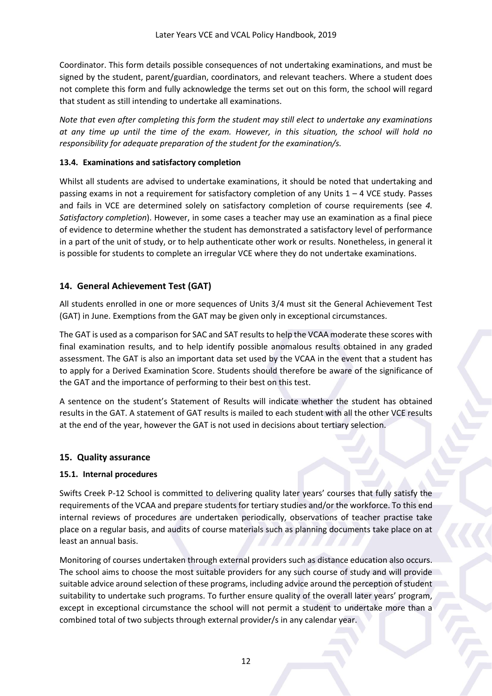Coordinator. This form details possible consequences of not undertaking examinations, and must be signed by the student, parent/guardian, coordinators, and relevant teachers. Where a student does not complete this form and fully acknowledge the terms set out on this form, the school will regard that student as still intending to undertake all examinations.

*Note that even after completing this form the student may still elect to undertake any examinations at any time up until the time of the exam. However, in this situation, the school will hold no responsibility for adequate preparation of the student for the examination/s.* 

## **13.4. Examinations and satisfactory completion**

Whilst all students are advised to undertake examinations, it should be noted that undertaking and passing exams in not a requirement for satisfactory completion of any Units  $1 - 4$  VCE study. Passes and fails in VCE are determined solely on satisfactory completion of course requirements (see *4. Satisfactory completion*). However, in some cases a teacher may use an examination as a final piece of evidence to determine whether the student has demonstrated a satisfactory level of performance in a part of the unit of study, or to help authenticate other work or results. Nonetheless, in general it is possible for students to complete an irregular VCE where they do not undertake examinations.

# <span id="page-12-0"></span>**14. General Achievement Test (GAT)**

All students enrolled in one or more sequences of Units 3/4 must sit the General Achievement Test (GAT) in June. Exemptions from the GAT may be given only in exceptional circumstances.

The GAT is used as a comparison for SAC and SAT results to help the VCAA moderate these scores with final examination results, and to help identify possible anomalous results obtained in any graded assessment. The GAT is also an important data set used by the VCAA in the event that a student has to apply for a Derived Examination Score. Students should therefore be aware of the significance of the GAT and the importance of performing to their best on this test.

A sentence on the student's Statement of Results will indicate whether the student has obtained results in the GAT. A statement of GAT results is mailed to each student with all the other VCE results at the end of the year, however the GAT is not used in decisions about tertiary selection.

## <span id="page-12-1"></span>**15. Quality assurance**

## **15.1. Internal procedures**

Swifts Creek P-12 School is committed to delivering quality later years' courses that fully satisfy the requirements of the VCAA and prepare students for tertiary studies and/or the workforce. To this end internal reviews of procedures are undertaken periodically, observations of teacher practise take place on a regular basis, and audits of course materials such as planning documents take place on at least an annual basis.

Monitoring of courses undertaken through external providers such as distance education also occurs. The school aims to choose the most suitable providers for any such course of study and will provide suitable advice around selection of these programs, including advice around the perception of student suitability to undertake such programs. To further ensure quality of the overall later years' program, except in exceptional circumstance the school will not permit a student to undertake more than a combined total of two subjects through external provider/s in any calendar year.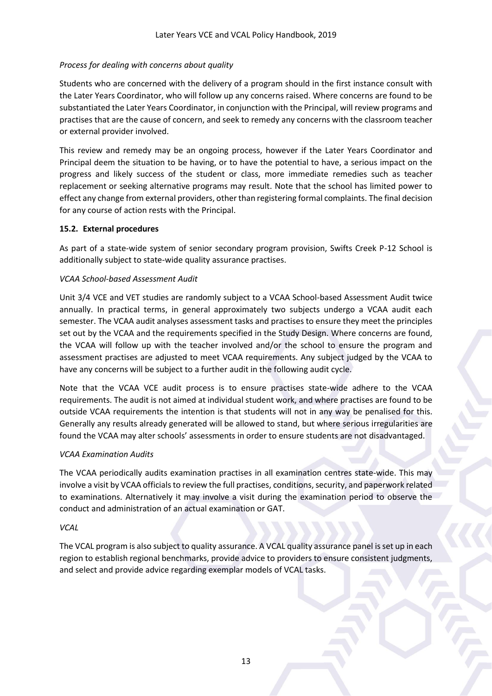## *Process for dealing with concerns about quality*

Students who are concerned with the delivery of a program should in the first instance consult with the Later Years Coordinator, who will follow up any concerns raised. Where concerns are found to be substantiated the Later Years Coordinator, in conjunction with the Principal, will review programs and practises that are the cause of concern, and seek to remedy any concerns with the classroom teacher or external provider involved.

This review and remedy may be an ongoing process, however if the Later Years Coordinator and Principal deem the situation to be having, or to have the potential to have, a serious impact on the progress and likely success of the student or class, more immediate remedies such as teacher replacement or seeking alternative programs may result. Note that the school has limited power to effect any change from external providers, other than registering formal complaints. The final decision for any course of action rests with the Principal.

#### **15.2. External procedures**

As part of a state-wide system of senior secondary program provision, Swifts Creek P-12 School is additionally subject to state-wide quality assurance practises.

#### *VCAA School-based Assessment Audit*

Unit 3/4 VCE and VET studies are randomly subject to a VCAA School-based Assessment Audit twice annually. In practical terms, in general approximately two subjects undergo a VCAA audit each semester. The VCAA audit analyses assessment tasks and practises to ensure they meet the principles set out by the VCAA and the requirements specified in the Study Design. Where concerns are found, the VCAA will follow up with the teacher involved and/or the school to ensure the program and assessment practises are adjusted to meet VCAA requirements. Any subject judged by the VCAA to have any concerns will be subject to a further audit in the following audit cycle.

Note that the VCAA VCE audit process is to ensure practises state-wide adhere to the VCAA requirements. The audit is not aimed at individual student work, and where practises are found to be outside VCAA requirements the intention is that students will not in any way be penalised for this. Generally any results already generated will be allowed to stand, but where serious irregularities are found the VCAA may alter schools' assessments in order to ensure students are not disadvantaged.

## *VCAA Examination Audits*

The VCAA periodically audits examination practises in all examination centres state-wide. This may involve a visit by VCAA officials to review the full practises, conditions, security, and paperwork related to examinations. Alternatively it may involve a visit during the examination period to observe the conduct and administration of an actual examination or GAT.

## *VCAL*

The VCAL program is also subject to quality assurance. A VCAL quality assurance panel is set up in each region to establish regional benchmarks, provide advice to providers to ensure consistent judgments, and select and provide advice regarding exemplar models of VCAL tasks.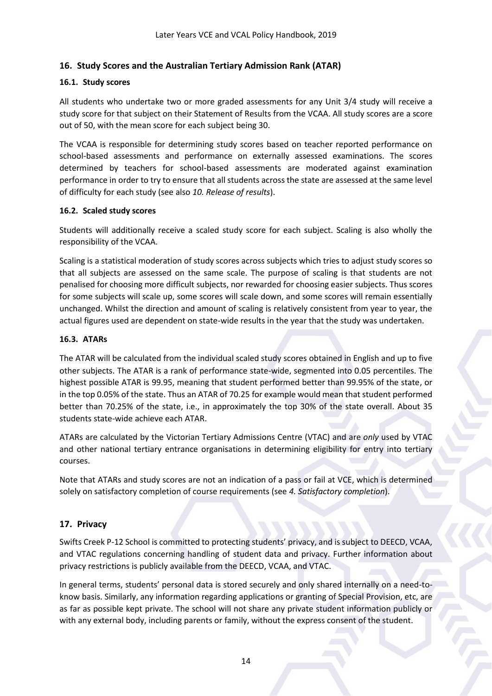# <span id="page-14-0"></span>**16. Study Scores and the Australian Tertiary Admission Rank (ATAR)**

#### **16.1. Study scores**

All students who undertake two or more graded assessments for any Unit 3/4 study will receive a study score for that subject on their Statement of Results from the VCAA. All study scores are a score out of 50, with the mean score for each subject being 30.

The VCAA is responsible for determining study scores based on teacher reported performance on school-based assessments and performance on externally assessed examinations. The scores determined by teachers for school-based assessments are moderated against examination performance in order to try to ensure that all students across the state are assessed at the same level of difficulty for each study (see also *10. Release of results*).

#### **16.2. Scaled study scores**

Students will additionally receive a scaled study score for each subject. Scaling is also wholly the responsibility of the VCAA.

Scaling is a statistical moderation of study scores across subjects which tries to adjust study scores so that all subjects are assessed on the same scale. The purpose of scaling is that students are not penalised for choosing more difficult subjects, nor rewarded for choosing easier subjects. Thus scores for some subjects will scale up, some scores will scale down, and some scores will remain essentially unchanged. Whilst the direction and amount of scaling is relatively consistent from year to year, the actual figures used are dependent on state-wide results in the year that the study was undertaken.

#### **16.3. ATARs**

The ATAR will be calculated from the individual scaled study scores obtained in English and up to five other subjects. The ATAR is a rank of performance state-wide, segmented into 0.05 percentiles. The highest possible ATAR is 99.95, meaning that student performed better than 99.95% of the state, or in the top 0.05% of the state. Thus an ATAR of 70.25 for example would mean that student performed better than 70.25% of the state, i.e., in approximately the top 30% of the state overall. About 35 students state-wide achieve each ATAR.

ATARs are calculated by the Victorian Tertiary Admissions Centre (VTAC) and are *only* used by VTAC and other national tertiary entrance organisations in determining eligibility for entry into tertiary courses.

Note that ATARs and study scores are not an indication of a pass or fail at VCE, which is determined solely on satisfactory completion of course requirements (see *4. Satisfactory completion*).

## <span id="page-14-1"></span>**17. Privacy**

Swifts Creek P-12 School is committed to protecting students' privacy, and is subject to DEECD, VCAA, and VTAC regulations concerning handling of student data and privacy. Further information about privacy restrictions is publicly available from the DEECD, VCAA, and VTAC.

In general terms, students' personal data is stored securely and only shared internally on a need-toknow basis. Similarly, any information regarding applications or granting of Special Provision, etc, are as far as possible kept private. The school will not share any private student information publicly or with any external body, including parents or family, without the express consent of the student.